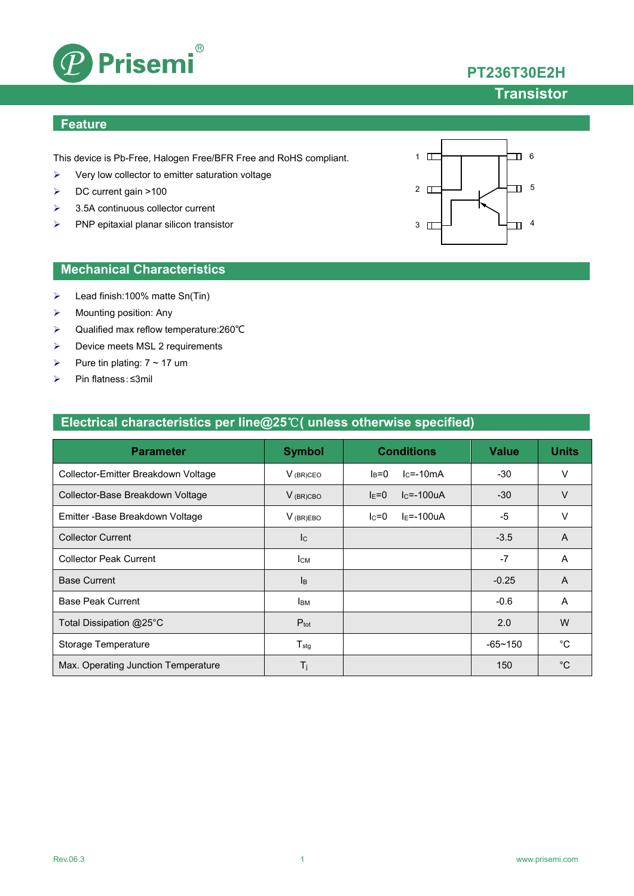

# **PT236T30E2H**

#### **Transistor**

#### **Feature**

This device is Pb-Free, Halogen Free/BFR Free and RoHS compliant.

- $\triangleright$  Very low collector to emitter saturation voltage
- DC current gain >100
- $\geq$  3.5A continuous collector current
- $\triangleright$  PNP epitaxial planar silicon transistor



- Lead finish:100% matte Sn(Tin)
- $\triangleright$  Mounting position: Any
- Qualified max reflow temperature:260℃
- > Device meets MSL 2 requirements
- Pure tin plating:  $7 \sim 17$  um
- Pin flatness:≤3mil

# $3 \quad \Box$ 2  $\Box$ 1 6  $\overline{\mathbb{D}}$  5  $\Box$ <sup>4</sup>

| Electrical characteristics per line@25 $\degree$ C( unless otherwise specified) |  |  |
|---------------------------------------------------------------------------------|--|--|
|                                                                                 |  |  |

| <b>Parameter</b>                    | <b>Symbol</b>             | <b>Conditions</b>          | <b>Value</b> | <b>Units</b>   |
|-------------------------------------|---------------------------|----------------------------|--------------|----------------|
| Collector-Emitter Breakdown Voltage | $V_{(BR)CEO}$             | $lc = -10mA$<br>$I_B=0$    | $-30$        | v              |
| Collector-Base Breakdown Voltage    | $V_{(BR)CBO}$             | $lc = -100uA$<br>$I_{E}=0$ | $-30$        | $\vee$         |
| Emitter - Base Breakdown Voltage    | $V_{(BR)EBO}$             | $I_F = -100uA$<br>$lc = 0$ | $-5$         | v              |
| <b>Collector Current</b>            | c                         |                            | $-3.5$       | $\overline{A}$ |
| <b>Collector Peak Current</b>       | Iсм                       |                            | $-7$         | A              |
| <b>Base Current</b>                 | $\mathsf{I}_{\mathsf{B}}$ |                            | $-0.25$      | A              |
| <b>Base Peak Current</b>            | <b>I</b> BM               |                            | $-0.6$       | A              |
| Total Dissipation @25°C             | $P_{\text{tot}}$          |                            | 2.0          | W              |
| Storage Temperature                 | $T_{\text{stg}}$          |                            | $-65 - 150$  | °С             |
| Max. Operating Junction Temperature | $T_j$                     |                            | 150          | $^{\circ}C$    |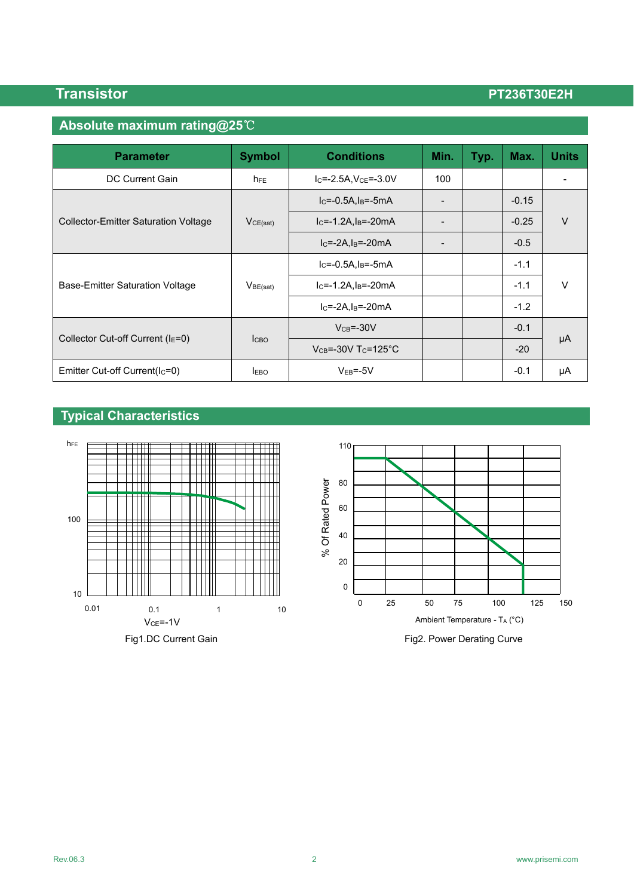### **Absolute maximum rating@25**℃

| <b>Parameter</b>                            | <b>Symbol</b>        | <b>Conditions</b>                     | Min.                     | Typ. | Max.    | <b>Units</b> |  |
|---------------------------------------------|----------------------|---------------------------------------|--------------------------|------|---------|--------------|--|
| <b>DC Current Gain</b>                      | $h_{FE}$             | $I_C = -2.5A$ , $V_{CE} = -3.0V$      | 100                      |      |         |              |  |
|                                             | VCE(sat)             | $IC=-0.5A, IB=-5mA$                   |                          |      | $-0.15$ |              |  |
| <b>Collector-Emitter Saturation Voltage</b> |                      | $IC=-1.2A$ , $IB=-20mA$               | $\overline{\phantom{0}}$ |      | $-0.25$ | $\vee$       |  |
|                                             |                      | $IC=-2A,IB=-20mA$                     |                          |      | $-0.5$  |              |  |
|                                             | V <sub>BE(sat)</sub> | $IC=-0.5A, IB=-5mA$                   |                          |      | $-1.1$  |              |  |
| Base-Emitter Saturation Voltage             |                      | $IC=-1.2A, IB=-20mA$                  |                          |      | $-1.1$  | $\vee$       |  |
|                                             |                      | $lc = -2A$ , $ls = -20mA$             |                          |      | $-1.2$  |              |  |
|                                             | <b>I</b> CBO         | $VCB=-30V$                            |                          |      | $-0.1$  |              |  |
| Collector Cut-off Current (IE=0)            |                      | $V_{CB} = -30V$ T <sub>C</sub> =125°C |                          |      | $-20$   | μA           |  |
| Emitter Cut-off Current(Ic=0)               | <b>IEBO</b>          | $VEB=-5V$                             |                          |      | $-0.1$  | μA           |  |

### **Typical Characteristics**

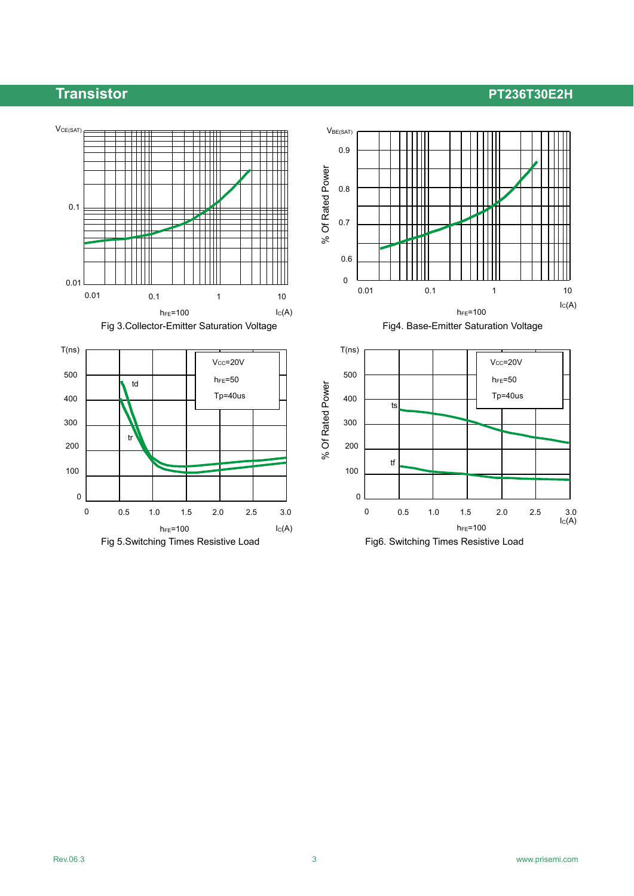

Fig 3. Collector-Emitter Saturation Voltage Fig4. Base-Emitter Saturation Voltage





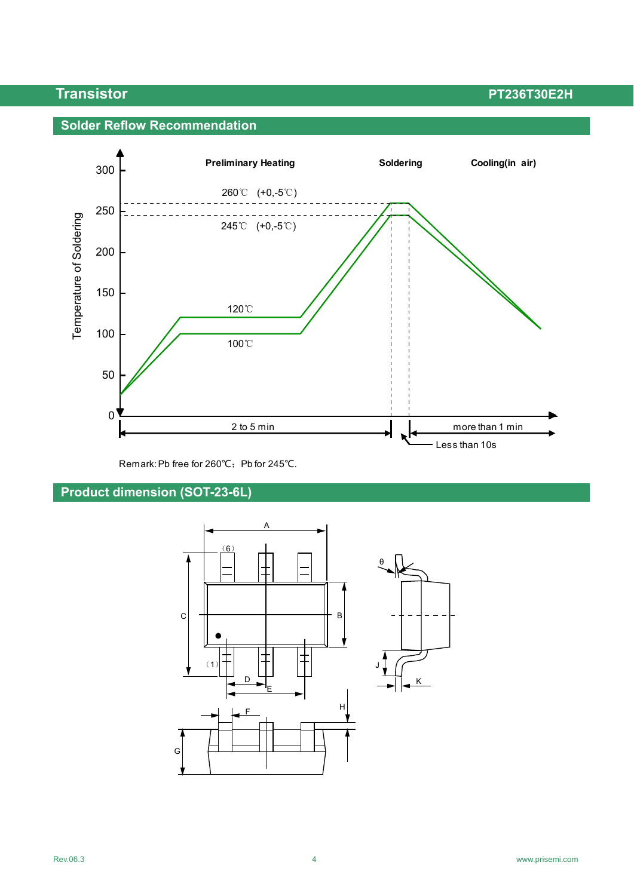#### **Solder Reflow Recommendation**



Remark: Pb free for 260℃; Pb for 245℃.

### **Product dimension (SOT-23-6L)**

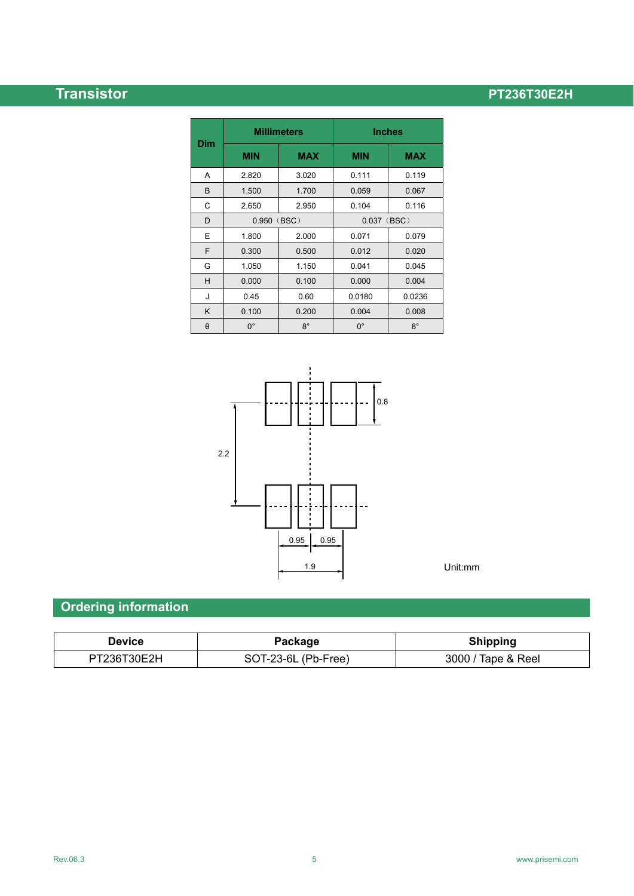|          | <b>Millimeters</b> |            | <b>Inches</b> |             |  |
|----------|--------------------|------------|---------------|-------------|--|
| Dim      | <b>MIN</b>         | <b>MAX</b> | <b>MIN</b>    | <b>MAX</b>  |  |
| A        | 2.820              | 3.020      | 0.111         | 0.119       |  |
| B        | 1.500              | 1.700      | 0.059         | 0.067       |  |
| C        | 2.650              | 2.950      | 0.104         | 0.116       |  |
| D        | 0.950 (BSC)        |            | $0.037$ (BSC) |             |  |
| E        | 1.800              | 2.000      | 0.071         | 0.079       |  |
| F        | 0.300              | 0.500      | 0.012         | 0.020       |  |
| G        | 1.050              | 1.150      | 0.041         | 0.045       |  |
| н        | 0.000              | 0.100      | 0.000         | 0.004       |  |
| J        | 0.45               | 0.60       | 0.0180        | 0.0236      |  |
| K        | 0.100              | 0.200      | 0.004         | 0.008       |  |
| $\theta$ | $0^{\circ}$        | $8^\circ$  | $0^{\circ}$   | $8^{\circ}$ |  |



## Unit:mm

## **Ordering information**

| Device      | Package             | <b>Shipping</b>    |
|-------------|---------------------|--------------------|
| PT236T30E2H | SOT-23-6L (Pb-Free) | 3000 / Tape & Reel |